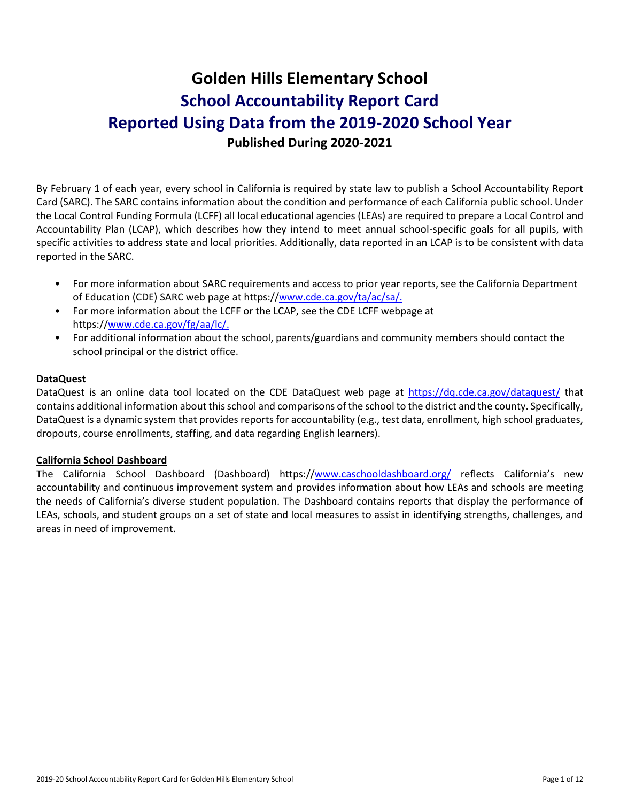# **Golden Hills Elementary School School Accountability Report Card Reported Using Data from the 2019-2020 School Year Published During 2020-2021**

By February 1 of each year, every school in California is required by state law to publish a School Accountability Report Card (SARC). The SARC contains information about the condition and performance of each California public school. Under the Local Control Funding Formula (LCFF) all local educational agencies (LEAs) are required to prepare a Local Control and Accountability Plan (LCAP), which describes how they intend to meet annual school-specific goals for all pupils, with specific activities to address state and local priorities. Additionally, data reported in an LCAP is to be consistent with data reported in the SARC.

- For more information about SARC requirements and access to prior year reports, see the California Department of Education (CDE) SARC web page at https:/[/www.cde.ca.gov/ta/ac/sa/.](https://www.cde.ca.gov/ta/ac/sa/)
- For more information about the LCFF or the LCAP, see the CDE LCFF webpage at https:/[/www.cde.ca.gov/fg/aa/lc/.](https://www.cde.ca.gov/fg/aa/lc/)
- For additional information about the school, parents/guardians and community members should contact the school principal or the district office.

## **DataQuest**

DataQuest is an online data tool located on the CDE DataQuest web page at<https://dq.cde.ca.gov/dataquest/> that contains additional information about this school and comparisons of the school to the district and the county. Specifically, DataQuest is a dynamic system that provides reports for accountability (e.g., test data, enrollment, high school graduates, dropouts, course enrollments, staffing, and data regarding English learners).

#### **California School Dashboard**

The California School Dashboard (Dashboard) https:/[/www.caschooldashboard.org/](https://www.caschooldashboard.org/) reflects California's new accountability and continuous improvement system and provides information about how LEAs and schools are meeting the needs of California's diverse student population. The Dashboard contains reports that display the performance of LEAs, schools, and student groups on a set of state and local measures to assist in identifying strengths, challenges, and areas in need of improvement.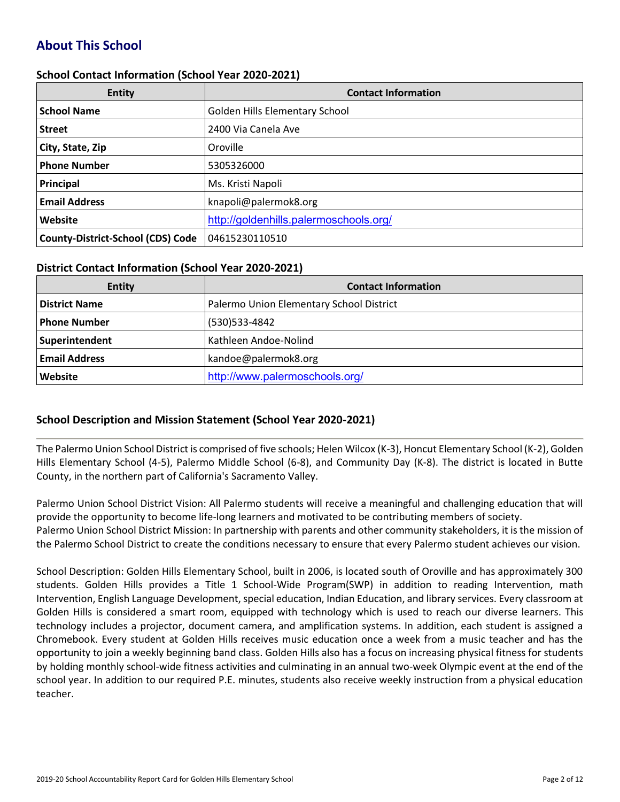# **About This School**

#### **School Contact Information (School Year 2020-2021)**

| <b>Entity</b>                            | <b>Contact Information</b>             |
|------------------------------------------|----------------------------------------|
| <b>School Name</b>                       | Golden Hills Elementary School         |
| <b>Street</b>                            | 2400 Via Canela Ave                    |
| City, State, Zip                         | Oroville                               |
| <b>Phone Number</b>                      | 5305326000                             |
| Principal                                | Ms. Kristi Napoli                      |
| <b>Email Address</b>                     | knapoli@palermok8.org                  |
| Website                                  | http://goldenhills.palermoschools.org/ |
| <b>County-District-School (CDS) Code</b> | 04615230110510                         |

#### **District Contact Information (School Year 2020-2021)**

| Entity               | <b>Contact Information</b>               |
|----------------------|------------------------------------------|
| <b>District Name</b> | Palermo Union Elementary School District |
| <b>Phone Number</b>  | (530) 533-4842                           |
| Superintendent       | Kathleen Andoe-Nolind                    |
| <b>Email Address</b> | kandoe@palermok8.org                     |
| Website              | http://www.palermoschools.org/           |

## **School Description and Mission Statement (School Year 2020-2021)**

The Palermo Union School District is comprised of five schools; Helen Wilcox (K-3), Honcut Elementary School (K-2), Golden Hills Elementary School (4-5), Palermo Middle School (6-8), and Community Day (K-8). The district is located in Butte County, in the northern part of California's Sacramento Valley.

Palermo Union School District Vision: All Palermo students will receive a meaningful and challenging education that will provide the opportunity to become life-long learners and motivated to be contributing members of society. Palermo Union School District Mission: In partnership with parents and other community stakeholders, it is the mission of the Palermo School District to create the conditions necessary to ensure that every Palermo student achieves our vision.

School Description: Golden Hills Elementary School, built in 2006, is located south of Oroville and has approximately 300 students. Golden Hills provides a Title 1 School-Wide Program(SWP) in addition to reading Intervention, math Intervention, English Language Development, special education, Indian Education, and library services. Every classroom at Golden Hills is considered a smart room, equipped with technology which is used to reach our diverse learners. This technology includes a projector, document camera, and amplification systems. In addition, each student is assigned a Chromebook. Every student at Golden Hills receives music education once a week from a music teacher and has the opportunity to join a weekly beginning band class. Golden Hills also has a focus on increasing physical fitness for students by holding monthly school-wide fitness activities and culminating in an annual two-week Olympic event at the end of the school year. In addition to our required P.E. minutes, students also receive weekly instruction from a physical education teacher.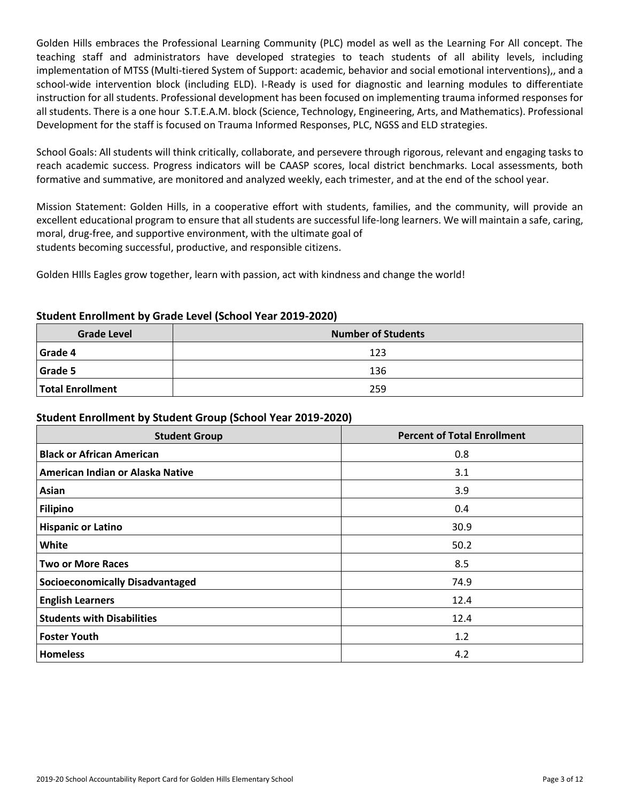Golden Hills embraces the Professional Learning Community (PLC) model as well as the Learning For All concept. The teaching staff and administrators have developed strategies to teach students of all ability levels, including implementation of MTSS (Multi-tiered System of Support: academic, behavior and social emotional interventions),, and a school-wide intervention block (including ELD). I-Ready is used for diagnostic and learning modules to differentiate instruction for all students. Professional development has been focused on implementing trauma informed responses for all students. There is a one hour S.T.E.A.M. block (Science, Technology, Engineering, Arts, and Mathematics). Professional Development for the staff is focused on Trauma Informed Responses, PLC, NGSS and ELD strategies.

School Goals: All students will think critically, collaborate, and persevere through rigorous, relevant and engaging tasks to reach academic success. Progress indicators will be CAASP scores, local district benchmarks. Local assessments, both formative and summative, are monitored and analyzed weekly, each trimester, and at the end of the school year.

Mission Statement: Golden Hills, in a cooperative effort with students, families, and the community, will provide an excellent educational program to ensure that all students are successful life-long learners. We will maintain a safe, caring, moral, drug-free, and supportive environment, with the ultimate goal of students becoming successful, productive, and responsible citizens.

Golden HIlls Eagles grow together, learn with passion, act with kindness and change the world!

## **Student Enrollment by Grade Level (School Year 2019-2020)**

| <b>Grade Level</b>      | <b>Number of Students</b> |  |  |  |  |
|-------------------------|---------------------------|--|--|--|--|
| Grade 4                 | 123                       |  |  |  |  |
| Grade 5                 | 136                       |  |  |  |  |
| <b>Total Enrollment</b> | 259                       |  |  |  |  |

## **Student Enrollment by Student Group (School Year 2019-2020)**

| <b>Student Group</b>                   | <b>Percent of Total Enrollment</b> |
|----------------------------------------|------------------------------------|
| <b>Black or African American</b>       | 0.8                                |
| American Indian or Alaska Native       | 3.1                                |
| Asian                                  | 3.9                                |
| <b>Filipino</b>                        | 0.4                                |
| <b>Hispanic or Latino</b>              | 30.9                               |
| White                                  | 50.2                               |
| <b>Two or More Races</b>               | 8.5                                |
| <b>Socioeconomically Disadvantaged</b> | 74.9                               |
| <b>English Learners</b>                | 12.4                               |
| <b>Students with Disabilities</b>      | 12.4                               |
| <b>Foster Youth</b>                    | 1.2                                |
| <b>Homeless</b>                        | 4.2                                |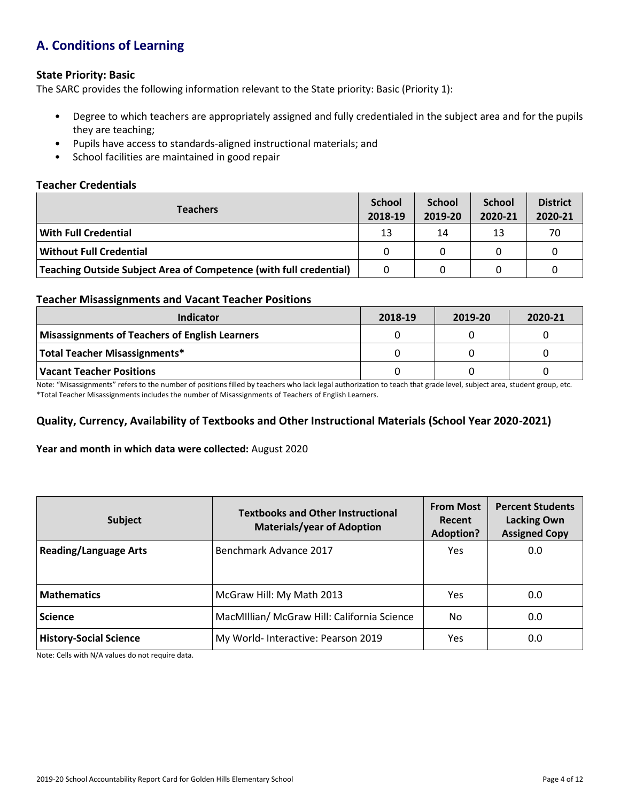# **A. Conditions of Learning**

#### **State Priority: Basic**

The SARC provides the following information relevant to the State priority: Basic (Priority 1):

- Degree to which teachers are appropriately assigned and fully credentialed in the subject area and for the pupils they are teaching;
- Pupils have access to standards-aligned instructional materials; and
- School facilities are maintained in good repair

#### **Teacher Credentials**

| <b>Teachers</b>                                                    |    | <b>School</b><br>2019-20 | <b>School</b><br>2020-21 | <b>District</b><br>2020-21 |
|--------------------------------------------------------------------|----|--------------------------|--------------------------|----------------------------|
| With Full Credential                                               | 13 | 14                       | 13                       | 70                         |
| Without Full Credential                                            | 0  | 0                        |                          |                            |
| Teaching Outside Subject Area of Competence (with full credential) | 0  |                          |                          |                            |

#### **Teacher Misassignments and Vacant Teacher Positions**

| Indicator                                      | 2018-19 | 2019-20 | 2020-21 |
|------------------------------------------------|---------|---------|---------|
| Misassignments of Teachers of English Learners |         |         |         |
| Total Teacher Misassignments*                  |         |         |         |
| Vacant Teacher Positions                       |         |         |         |

Note: "Misassignments" refers to the number of positions filled by teachers who lack legal authorization to teach that grade level, subject area, student group, etc. \*Total Teacher Misassignments includes the number of Misassignments of Teachers of English Learners.

## **Quality, Currency, Availability of Textbooks and Other Instructional Materials (School Year 2020-2021)**

#### **Year and month in which data were collected:** August 2020

| Subject                       | <b>From Most</b><br><b>Textbooks and Other Instructional</b><br>Recent<br><b>Materials/year of Adoption</b><br><b>Adoption?</b> |     |     |  | <b>Percent Students</b><br><b>Lacking Own</b><br><b>Assigned Copy</b> |
|-------------------------------|---------------------------------------------------------------------------------------------------------------------------------|-----|-----|--|-----------------------------------------------------------------------|
| <b>Reading/Language Arts</b>  | Benchmark Advance 2017                                                                                                          | Yes | 0.0 |  |                                                                       |
| <b>Mathematics</b>            | McGraw Hill: My Math 2013                                                                                                       | Yes | 0.0 |  |                                                                       |
| <b>Science</b>                | MacMillian/ McGraw Hill: California Science                                                                                     | No. | 0.0 |  |                                                                       |
| <b>History-Social Science</b> | My World- Interactive: Pearson 2019                                                                                             | Yes | 0.0 |  |                                                                       |

Note: Cells with N/A values do not require data.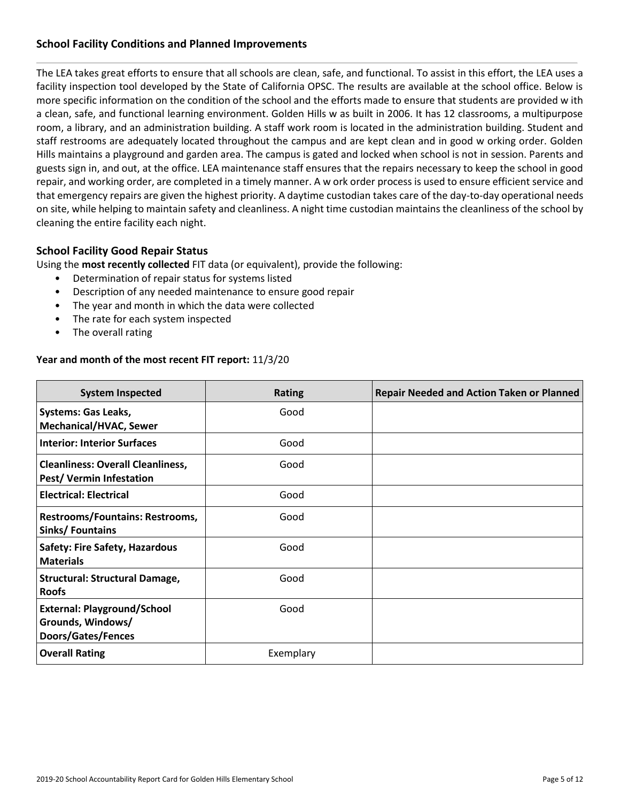## **School Facility Conditions and Planned Improvements**

The LEA takes great efforts to ensure that all schools are clean, safe, and functional. To assist in this effort, the LEA uses a facility inspection tool developed by the State of California OPSC. The results are available at the school office. Below is more specific information on the condition of the school and the efforts made to ensure that students are provided w ith a clean, safe, and functional learning environment. Golden Hills w as built in 2006. It has 12 classrooms, a multipurpose room, a library, and an administration building. A staff work room is located in the administration building. Student and staff restrooms are adequately located throughout the campus and are kept clean and in good w orking order. Golden Hills maintains a playground and garden area. The campus is gated and locked when school is not in session. Parents and guests sign in, and out, at the office. LEA maintenance staff ensures that the repairs necessary to keep the school in good repair, and working order, are completed in a timely manner. A w ork order process is used to ensure efficient service and that emergency repairs are given the highest priority. A daytime custodian takes care of the day-to-day operational needs on site, while helping to maintain safety and cleanliness. A night time custodian maintains the cleanliness of the school by cleaning the entire facility each night.

## **School Facility Good Repair Status**

Using the **most recently collected** FIT data (or equivalent), provide the following:

- Determination of repair status for systems listed
- Description of any needed maintenance to ensure good repair
- The year and month in which the data were collected
- The rate for each system inspected
- The overall rating

#### **Year and month of the most recent FIT report:** 11/3/20

| <b>System Inspected</b>                                                       | <b>Rating</b> | <b>Repair Needed and Action Taken or Planned</b> |
|-------------------------------------------------------------------------------|---------------|--------------------------------------------------|
| <b>Systems: Gas Leaks,</b><br><b>Mechanical/HVAC, Sewer</b>                   | Good          |                                                  |
| <b>Interior: Interior Surfaces</b>                                            | Good          |                                                  |
| <b>Cleanliness: Overall Cleanliness,</b><br><b>Pest/ Vermin Infestation</b>   | Good          |                                                  |
| <b>Electrical: Electrical</b>                                                 | Good          |                                                  |
| <b>Restrooms/Fountains: Restrooms,</b><br>Sinks/Fountains                     | Good          |                                                  |
| <b>Safety: Fire Safety, Hazardous</b><br><b>Materials</b>                     | Good          |                                                  |
| <b>Structural: Structural Damage,</b><br><b>Roofs</b>                         | Good          |                                                  |
| <b>External: Playground/School</b><br>Grounds, Windows/<br>Doors/Gates/Fences | Good          |                                                  |
| <b>Overall Rating</b>                                                         | Exemplary     |                                                  |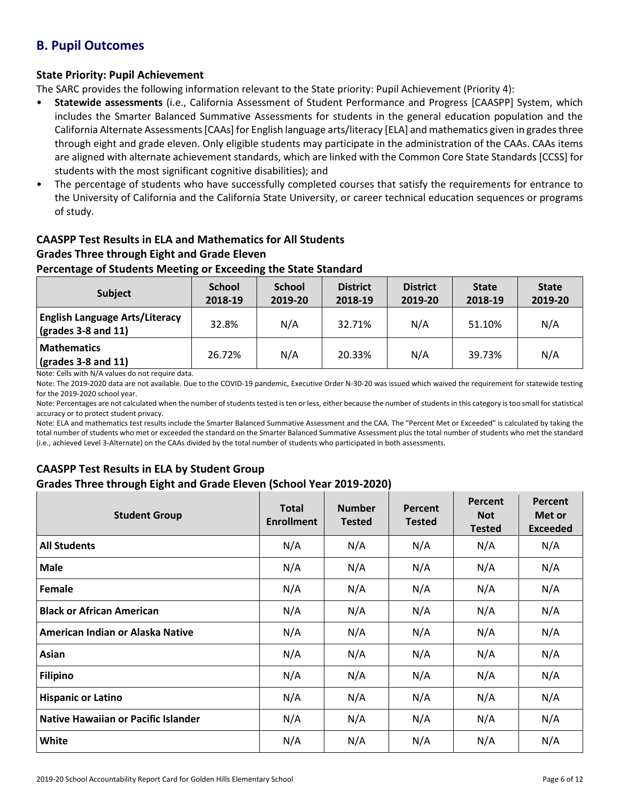# **B. Pupil Outcomes**

## **State Priority: Pupil Achievement**

The SARC provides the following information relevant to the State priority: Pupil Achievement (Priority 4):

- **Statewide assessments** (i.e., California Assessment of Student Performance and Progress [CAASPP] System, which includes the Smarter Balanced Summative Assessments for students in the general education population and the California Alternate Assessments [CAAs] for English language arts/literacy [ELA] and mathematics given in grades three through eight and grade eleven. Only eligible students may participate in the administration of the CAAs. CAAs items are aligned with alternate achievement standards, which are linked with the Common Core State Standards [CCSS] for students with the most significant cognitive disabilities); and
- The percentage of students who have successfully completed courses that satisfy the requirements for entrance to the University of California and the California State University, or career technical education sequences or programs of study.

# **CAASPP Test Results in ELA and Mathematics for All Students**

# **Grades Three through Eight and Grade Eleven**

## **Percentage of Students Meeting or Exceeding the State Standard**

| Subject                                                              | <b>School</b><br>2018-19 | <b>School</b><br>2019-20 | <b>District</b><br>2018-19 | <b>District</b><br>2019-20 | <b>State</b><br>2018-19 | <b>State</b><br>2019-20 |
|----------------------------------------------------------------------|--------------------------|--------------------------|----------------------------|----------------------------|-------------------------|-------------------------|
| <b>English Language Arts/Literacy</b><br>$\vert$ (grades 3-8 and 11) | 32.8%                    | N/A                      | 32.71%                     | N/A                        | 51.10%                  | N/A                     |
| <b>Mathematics</b><br>$\vert$ (grades 3-8 and 11)                    | 26.72%                   | N/A                      | 20.33%                     | N/A                        | 39.73%                  | N/A                     |

Note: Cells with N/A values do not require data.

Note: The 2019-2020 data are not available. Due to the COVID-19 pandemic, Executive Order N-30-20 was issued which waived the requirement for statewide testing for the 2019-2020 school year.

Note: Percentages are not calculated when the number of students tested is ten or less, either because the number of students in this category is too small for statistical accuracy or to protect student privacy.

Note: ELA and mathematics test results include the Smarter Balanced Summative Assessment and the CAA. The "Percent Met or Exceeded" is calculated by taking the total number of students who met or exceeded the standard on the Smarter Balanced Summative Assessment plus the total number of students who met the standard (i.e., achieved Level 3-Alternate) on the CAAs divided by the total number of students who participated in both assessments.

## **CAASPP Test Results in ELA by Student Group Grades Three through Eight and Grade Eleven (School Year 2019-2020)**

| <b>Student Group</b>                | <b>Total</b><br><b>Enrollment</b> | <b>Number</b><br><b>Tested</b> | Percent<br><b>Tested</b> | Percent<br><b>Not</b><br><b>Tested</b> | Percent<br>Met or<br><b>Exceeded</b> |
|-------------------------------------|-----------------------------------|--------------------------------|--------------------------|----------------------------------------|--------------------------------------|
| <b>All Students</b>                 | N/A                               | N/A                            | N/A                      | N/A                                    | N/A                                  |
| <b>Male</b>                         | N/A                               | N/A                            | N/A                      | N/A                                    | N/A                                  |
| Female                              | N/A                               | N/A                            | N/A                      | N/A                                    | N/A                                  |
| <b>Black or African American</b>    | N/A                               | N/A                            | N/A                      | N/A                                    | N/A                                  |
| American Indian or Alaska Native    | N/A                               | N/A                            | N/A                      | N/A                                    | N/A                                  |
| Asian                               | N/A                               | N/A                            | N/A                      | N/A                                    | N/A                                  |
| <b>Filipino</b>                     | N/A                               | N/A                            | N/A                      | N/A                                    | N/A                                  |
| <b>Hispanic or Latino</b>           | N/A                               | N/A                            | N/A                      | N/A                                    | N/A                                  |
| Native Hawaiian or Pacific Islander | N/A                               | N/A                            | N/A                      | N/A                                    | N/A                                  |
| <b>White</b>                        | N/A                               | N/A                            | N/A                      | N/A                                    | N/A                                  |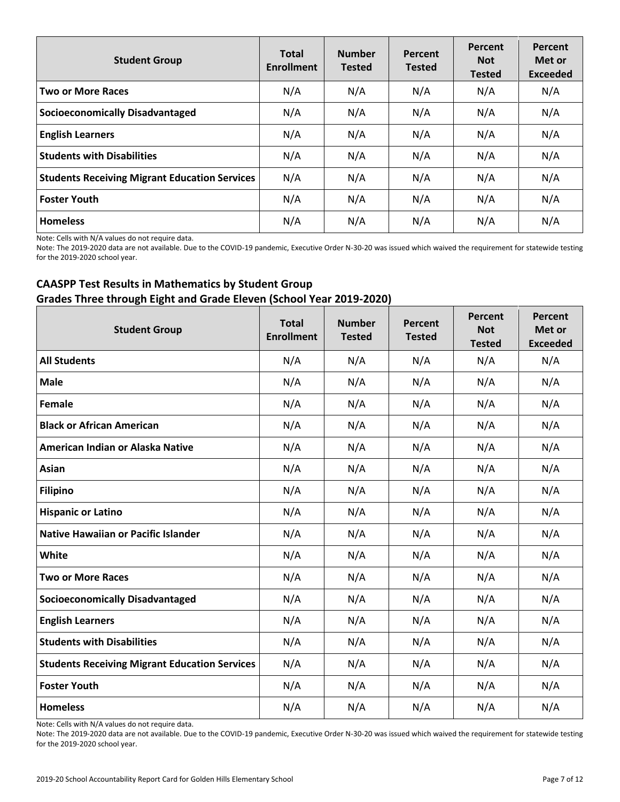| <b>Student Group</b>                                 | <b>Total</b><br><b>Enrollment</b> | <b>Number</b><br><b>Tested</b> | Percent<br><b>Tested</b> | Percent<br><b>Not</b><br><b>Tested</b> | Percent<br>Met or<br><b>Exceeded</b> |
|------------------------------------------------------|-----------------------------------|--------------------------------|--------------------------|----------------------------------------|--------------------------------------|
| <b>Two or More Races</b>                             | N/A                               | N/A                            | N/A                      | N/A                                    | N/A                                  |
| <b>Socioeconomically Disadvantaged</b>               | N/A                               | N/A                            | N/A                      | N/A                                    | N/A                                  |
| <b>English Learners</b>                              | N/A                               | N/A                            | N/A                      | N/A                                    | N/A                                  |
| <b>Students with Disabilities</b>                    | N/A                               | N/A                            | N/A                      | N/A                                    | N/A                                  |
| <b>Students Receiving Migrant Education Services</b> | N/A                               | N/A                            | N/A                      | N/A                                    | N/A                                  |
| <b>Foster Youth</b>                                  | N/A                               | N/A                            | N/A                      | N/A                                    | N/A                                  |
| <b>Homeless</b>                                      | N/A                               | N/A                            | N/A                      | N/A                                    | N/A                                  |

Note: Cells with N/A values do not require data.

Note: The 2019-2020 data are not available. Due to the COVID-19 pandemic, Executive Order N-30-20 was issued which waived the requirement for statewide testing for the 2019-2020 school year.

## **CAASPP Test Results in Mathematics by Student Group Grades Three through Eight and Grade Eleven (School Year 2019-2020)**

| <b>Student Group</b>                                 | <b>Total</b><br><b>Enrollment</b> | <b>Number</b><br><b>Tested</b> | Percent<br><b>Tested</b> | Percent<br><b>Not</b><br><b>Tested</b> | Percent<br>Met or<br><b>Exceeded</b> |
|------------------------------------------------------|-----------------------------------|--------------------------------|--------------------------|----------------------------------------|--------------------------------------|
| <b>All Students</b>                                  | N/A                               | N/A                            | N/A                      | N/A                                    | N/A                                  |
| <b>Male</b>                                          | N/A                               | N/A                            | N/A                      | N/A                                    | N/A                                  |
| Female                                               | N/A                               | N/A                            | N/A                      | N/A                                    | N/A                                  |
| <b>Black or African American</b>                     | N/A                               | N/A                            | N/A                      | N/A                                    | N/A                                  |
| American Indian or Alaska Native                     | N/A                               | N/A                            | N/A                      | N/A                                    | N/A                                  |
| Asian                                                | N/A                               | N/A                            | N/A                      | N/A                                    | N/A                                  |
| <b>Filipino</b>                                      | N/A                               | N/A                            | N/A                      | N/A                                    | N/A                                  |
| <b>Hispanic or Latino</b>                            | N/A                               | N/A                            | N/A                      | N/A                                    | N/A                                  |
| <b>Native Hawaiian or Pacific Islander</b>           | N/A                               | N/A                            | N/A                      | N/A                                    | N/A                                  |
| White                                                | N/A                               | N/A                            | N/A                      | N/A                                    | N/A                                  |
| <b>Two or More Races</b>                             | N/A                               | N/A                            | N/A                      | N/A                                    | N/A                                  |
| <b>Socioeconomically Disadvantaged</b>               | N/A                               | N/A                            | N/A                      | N/A                                    | N/A                                  |
| <b>English Learners</b>                              | N/A                               | N/A                            | N/A                      | N/A                                    | N/A                                  |
| <b>Students with Disabilities</b>                    | N/A                               | N/A                            | N/A                      | N/A                                    | N/A                                  |
| <b>Students Receiving Migrant Education Services</b> | N/A                               | N/A                            | N/A                      | N/A                                    | N/A                                  |
| <b>Foster Youth</b>                                  | N/A                               | N/A                            | N/A                      | N/A                                    | N/A                                  |
| <b>Homeless</b>                                      | N/A                               | N/A                            | N/A                      | N/A                                    | N/A                                  |

Note: Cells with N/A values do not require data.

Note: The 2019-2020 data are not available. Due to the COVID-19 pandemic, Executive Order N-30-20 was issued which waived the requirement for statewide testing for the 2019-2020 school year.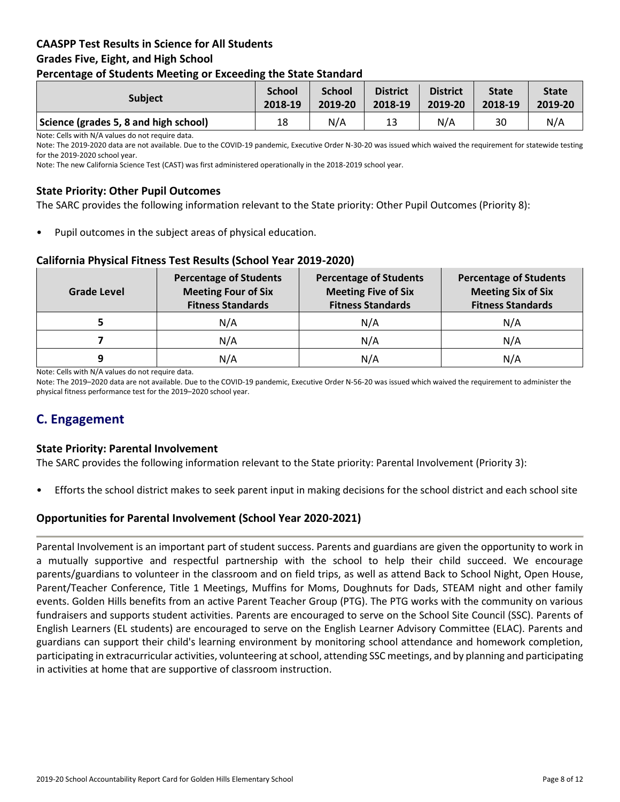## **CAASPP Test Results in Science for All Students Grades Five, Eight, and High School Percentage of Students Meeting or Exceeding the State Standard**

| -                                     |                          |                          |                            |                            |                         |                         |
|---------------------------------------|--------------------------|--------------------------|----------------------------|----------------------------|-------------------------|-------------------------|
| <b>Subject</b>                        | <b>School</b><br>2018-19 | <b>School</b><br>2019-20 | <b>District</b><br>2018-19 | <b>District</b><br>2019-20 | <b>State</b><br>2018-19 | <b>State</b><br>2019-20 |
| Science (grades 5, 8 and high school) | 18                       | N/A                      | 13                         | N/A                        | 30                      | N/A                     |

Note: Cells with N/A values do not require data.

Note: The 2019-2020 data are not available. Due to the COVID-19 pandemic, Executive Order N-30-20 was issued which waived the requirement for statewide testing for the 2019-2020 school year.

Note: The new California Science Test (CAST) was first administered operationally in the 2018-2019 school year.

## **State Priority: Other Pupil Outcomes**

The SARC provides the following information relevant to the State priority: Other Pupil Outcomes (Priority 8):

Pupil outcomes in the subject areas of physical education.

#### **California Physical Fitness Test Results (School Year 2019-2020)**

| Grade Level | <b>Percentage of Students</b><br><b>Meeting Four of Six</b><br><b>Fitness Standards</b> | <b>Percentage of Students</b><br><b>Meeting Five of Six</b><br><b>Fitness Standards</b> | <b>Percentage of Students</b><br><b>Meeting Six of Six</b><br><b>Fitness Standards</b> |
|-------------|-----------------------------------------------------------------------------------------|-----------------------------------------------------------------------------------------|----------------------------------------------------------------------------------------|
|             | N/A                                                                                     | N/A                                                                                     | N/A                                                                                    |
|             | N/A                                                                                     | N/A                                                                                     | N/A                                                                                    |
| q           | N/A                                                                                     | N/A                                                                                     | N/A                                                                                    |

Note: Cells with N/A values do not require data.

Note: The 2019–2020 data are not available. Due to the COVID-19 pandemic, Executive Order N-56-20 was issued which waived the requirement to administer the physical fitness performance test for the 2019–2020 school year.

## **C. Engagement**

#### **State Priority: Parental Involvement**

The SARC provides the following information relevant to the State priority: Parental Involvement (Priority 3):

• Efforts the school district makes to seek parent input in making decisions for the school district and each school site

#### **Opportunities for Parental Involvement (School Year 2020-2021)**

Parental Involvement is an important part of student success. Parents and guardians are given the opportunity to work in a mutually supportive and respectful partnership with the school to help their child succeed. We encourage parents/guardians to volunteer in the classroom and on field trips, as well as attend Back to School Night, Open House, Parent/Teacher Conference, Title 1 Meetings, Muffins for Moms, Doughnuts for Dads, STEAM night and other family events. Golden Hills benefits from an active Parent Teacher Group (PTG). The PTG works with the community on various fundraisers and supports student activities. Parents are encouraged to serve on the School Site Council (SSC). Parents of English Learners (EL students) are encouraged to serve on the English Learner Advisory Committee (ELAC). Parents and guardians can support their child's learning environment by monitoring school attendance and homework completion, participating in extracurricular activities, volunteering at school, attending SSC meetings, and by planning and participating in activities at home that are supportive of classroom instruction.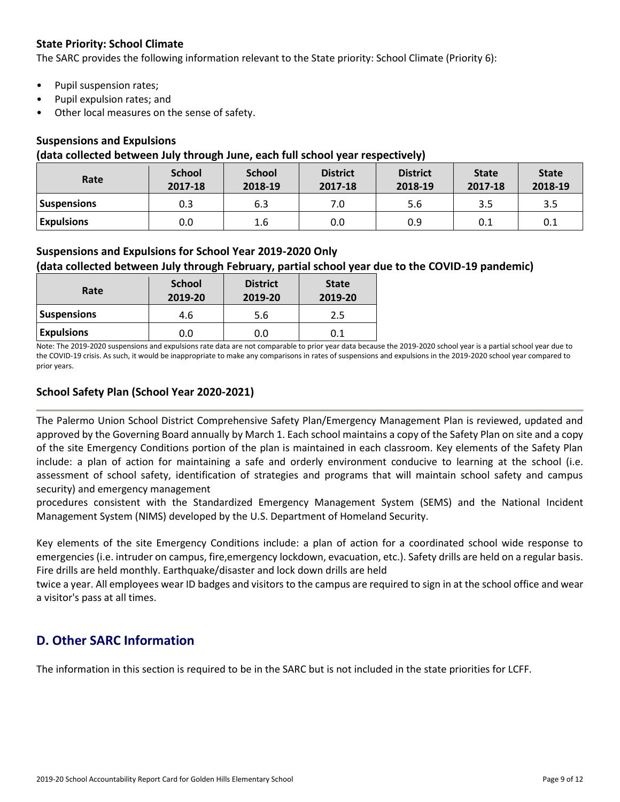## **State Priority: School Climate**

The SARC provides the following information relevant to the State priority: School Climate (Priority 6):

- Pupil suspension rates;
- Pupil expulsion rates; and
- Other local measures on the sense of safety.

#### **Suspensions and Expulsions**

#### **(data collected between July through June, each full school year respectively)**

| Rate               | <b>School</b><br>2017-18 | <b>School</b><br>2018-19 | <b>District</b><br>2017-18 | <b>District</b><br>2018-19 | <b>State</b><br>2017-18 | <b>State</b><br>2018-19 |
|--------------------|--------------------------|--------------------------|----------------------------|----------------------------|-------------------------|-------------------------|
| <b>Suspensions</b> | 0.3                      | 6.3                      | 7.0                        | 5.6                        | 3.5                     | 3.5                     |
| <b>Expulsions</b>  | 0.0                      | 1.6                      | 0.0                        | 0.9                        | 0.1                     | 0.1                     |

## **Suspensions and Expulsions for School Year 2019-2020 Only**

## **(data collected between July through February, partial school year due to the COVID-19 pandemic)**

| Rate               | <b>School</b><br>2019-20 | <b>District</b><br>2019-20 | <b>State</b><br>2019-20 |
|--------------------|--------------------------|----------------------------|-------------------------|
| <b>Suspensions</b> | 4.6                      | 5.6                        | 2.5                     |
| <b>Expulsions</b>  | 0.0                      | 0.0                        | 0.1                     |

Note: The 2019-2020 suspensions and expulsions rate data are not comparable to prior year data because the 2019-2020 school year is a partial school year due to the COVID-19 crisis. As such, it would be inappropriate to make any comparisons in rates of suspensions and expulsions in the 2019-2020 school year compared to prior years.

## **School Safety Plan (School Year 2020-2021)**

The Palermo Union School District Comprehensive Safety Plan/Emergency Management Plan is reviewed, updated and approved by the Governing Board annually by March 1. Each school maintains a copy of the Safety Plan on site and a copy of the site Emergency Conditions portion of the plan is maintained in each classroom. Key elements of the Safety Plan include: a plan of action for maintaining a safe and orderly environment conducive to learning at the school (i.e. assessment of school safety, identification of strategies and programs that will maintain school safety and campus security) and emergency management

procedures consistent with the Standardized Emergency Management System (SEMS) and the National Incident Management System (NIMS) developed by the U.S. Department of Homeland Security.

Key elements of the site Emergency Conditions include: a plan of action for a coordinated school wide response to emergencies (i.e. intruder on campus, fire,emergency lockdown, evacuation, etc.). Safety drills are held on a regular basis. Fire drills are held monthly. Earthquake/disaster and lock down drills are held

twice a year. All employees wear ID badges and visitors to the campus are required to sign in at the school office and wear a visitor's pass at all times.

## **D. Other SARC Information**

The information in this section is required to be in the SARC but is not included in the state priorities for LCFF.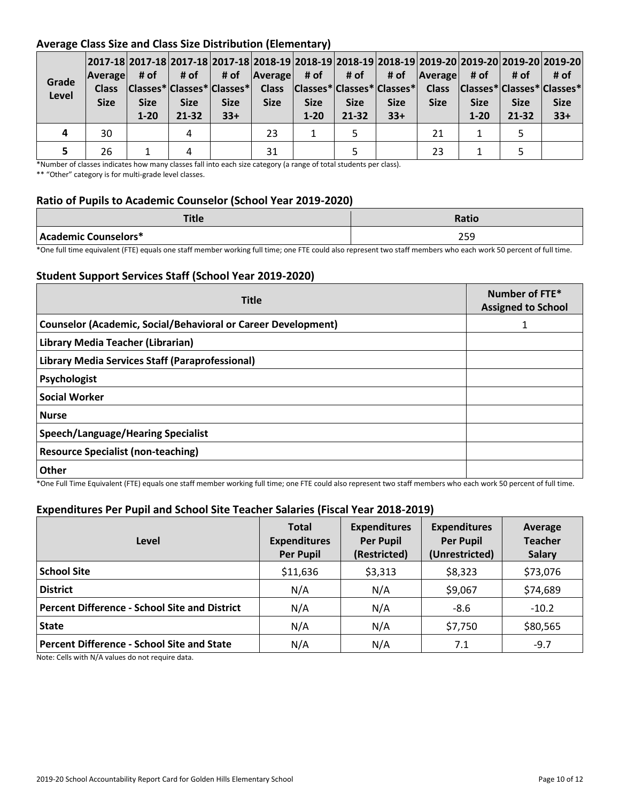## **Average Class Size and Class Size Distribution (Elementary)**

| Grade<br>Level | <b>Average</b><br><b>Class</b><br><b>Size</b> | # of<br><b>Size</b><br>$1 - 20$ | # of<br><b>Size</b><br>$21 - 32$ | # of<br><b>Size</b><br>$33+$ | $\vert$ Average # of $\vert$<br><b>Size</b> | <b>Size</b><br>$1 - 20$ | # of<br><b>Size</b><br>$21 - 32$ | # of<br><b>Size</b><br>$33+$ | <b>Average</b><br><b>Size</b> | # of<br><b>Size</b><br>$1 - 20$ | # of<br><b>Size</b><br>$21 - 32$ | 2017-18 2017-18 2017-18 2017-18 2018-19 2018-19 2018-19 2018-19 2019-20 2019-20 2019-20 2019-20 <br># of<br> Classes* Classes* Classes*  Class  Classes* Classes* Classes*  Class  Classes* Classes* Classes* <br><b>Size</b><br>$33+$ |
|----------------|-----------------------------------------------|---------------------------------|----------------------------------|------------------------------|---------------------------------------------|-------------------------|----------------------------------|------------------------------|-------------------------------|---------------------------------|----------------------------------|----------------------------------------------------------------------------------------------------------------------------------------------------------------------------------------------------------------------------------------|
|                | 30                                            |                                 | 4                                |                              | 23                                          |                         |                                  |                              | 21                            |                                 |                                  |                                                                                                                                                                                                                                        |
|                | 26                                            |                                 |                                  |                              | 31                                          |                         |                                  |                              | 23                            |                                 |                                  |                                                                                                                                                                                                                                        |

\*Number of classes indicates how many classes fall into each size category (a range of total students per class).

\*\* "Other" category is for multi-grade level classes.

## **Ratio of Pupils to Academic Counselor (School Year 2019-2020)**

| <b>Title</b>         | <b>Ratio</b> |
|----------------------|--------------|
| Academic Counselors* | ח ר<br>205   |

\*One full time equivalent (FTE) equals one staff member working full time; one FTE could also represent two staff members who each work 50 percent of full time.

## **Student Support Services Staff (School Year 2019-2020)**

| <b>Title</b>                                                         | Number of FTE*<br><b>Assigned to School</b> |
|----------------------------------------------------------------------|---------------------------------------------|
| <b>Counselor (Academic, Social/Behavioral or Career Development)</b> |                                             |
| Library Media Teacher (Librarian)                                    |                                             |
| Library Media Services Staff (Paraprofessional)                      |                                             |
| Psychologist                                                         |                                             |
| <b>Social Worker</b>                                                 |                                             |
| <b>Nurse</b>                                                         |                                             |
| Speech/Language/Hearing Specialist                                   |                                             |
| <b>Resource Specialist (non-teaching)</b>                            |                                             |
| <b>Other</b>                                                         |                                             |

\*One Full Time Equivalent (FTE) equals one staff member working full time; one FTE could also represent two staff members who each work 50 percent of full time.

## **Expenditures Per Pupil and School Site Teacher Salaries (Fiscal Year 2018-2019)**

| Level                                                | <b>Total</b><br><b>Expenditures</b><br><b>Per Pupil</b> | <b>Expenditures</b><br><b>Per Pupil</b><br>(Restricted) | <b>Expenditures</b><br><b>Per Pupil</b><br>(Unrestricted) | Average<br><b>Teacher</b><br><b>Salary</b> |
|------------------------------------------------------|---------------------------------------------------------|---------------------------------------------------------|-----------------------------------------------------------|--------------------------------------------|
| <b>School Site</b>                                   | \$11,636                                                | \$3,313                                                 | \$8,323                                                   | \$73,076                                   |
| <b>District</b>                                      | N/A                                                     | N/A                                                     | \$9,067                                                   | \$74,689                                   |
| <b>Percent Difference - School Site and District</b> | N/A                                                     | N/A                                                     | $-8.6$                                                    | $-10.2$                                    |
| <b>State</b>                                         | N/A                                                     | N/A                                                     | \$7,750                                                   | \$80,565                                   |
| <b>Percent Difference - School Site and State</b>    | N/A                                                     | N/A                                                     | 7.1                                                       | $-9.7$                                     |

Note: Cells with N/A values do not require data.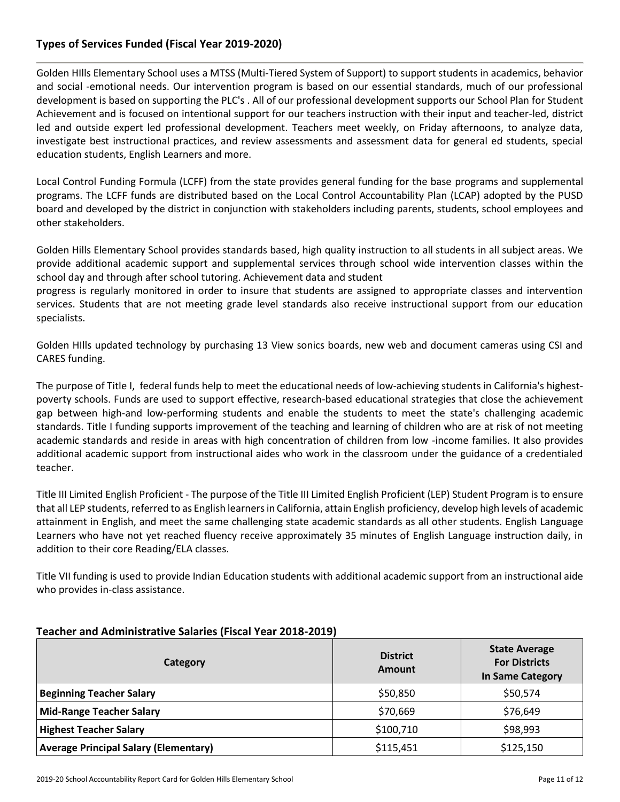## **Types of Services Funded (Fiscal Year 2019-2020)**

Golden HIlls Elementary School uses a MTSS (Multi-Tiered System of Support) to support students in academics, behavior and social -emotional needs. Our intervention program is based on our essential standards, much of our professional development is based on supporting the PLC's . All of our professional development supports our School Plan for Student Achievement and is focused on intentional support for our teachers instruction with their input and teacher-led, district led and outside expert led professional development. Teachers meet weekly, on Friday afternoons, to analyze data, investigate best instructional practices, and review assessments and assessment data for general ed students, special education students, English Learners and more.

Local Control Funding Formula (LCFF) from the state provides general funding for the base programs and supplemental programs. The LCFF funds are distributed based on the Local Control Accountability Plan (LCAP) adopted by the PUSD board and developed by the district in conjunction with stakeholders including parents, students, school employees and other stakeholders.

Golden Hills Elementary School provides standards based, high quality instruction to all students in all subject areas. We provide additional academic support and supplemental services through school wide intervention classes within the school day and through after school tutoring. Achievement data and student

progress is regularly monitored in order to insure that students are assigned to appropriate classes and intervention services. Students that are not meeting grade level standards also receive instructional support from our education specialists.

Golden HIlls updated technology by purchasing 13 View sonics boards, new web and document cameras using CSI and CARES funding.

The purpose of Title I, federal funds help to meet the educational needs of low-achieving students in California's highestpoverty schools. Funds are used to support effective, research-based educational strategies that close the achievement gap between high-and low-performing students and enable the students to meet the state's challenging academic standards. Title I funding supports improvement of the teaching and learning of children who are at risk of not meeting academic standards and reside in areas with high concentration of children from low -income families. It also provides additional academic support from instructional aides who work in the classroom under the guidance of a credentialed teacher.

Title III Limited English Proficient - The purpose of the Title III Limited English Proficient (LEP) Student Program is to ensure that all LEP students, referred to as English learners in California, attain English proficiency, develop high levels of academic attainment in English, and meet the same challenging state academic standards as all other students. English Language Learners who have not yet reached fluency receive approximately 35 minutes of English Language instruction daily, in addition to their core Reading/ELA classes.

Title VII funding is used to provide Indian Education students with additional academic support from an instructional aide who provides in-class assistance.

| <b>Category</b>                              | <b>District</b><br>Amount | <b>State Average</b><br><b>For Districts</b><br><b>In Same Category</b> |
|----------------------------------------------|---------------------------|-------------------------------------------------------------------------|
| <b>Beginning Teacher Salary</b>              | \$50,850                  | \$50,574                                                                |
| Mid-Range Teacher Salary                     | \$70,669                  | \$76,649                                                                |
| <b>Highest Teacher Salary</b>                | \$100,710                 | \$98,993                                                                |
| <b>Average Principal Salary (Elementary)</b> | \$115,451                 | \$125,150                                                               |

## **Teacher and Administrative Salaries (Fiscal Year 2018-2019)**